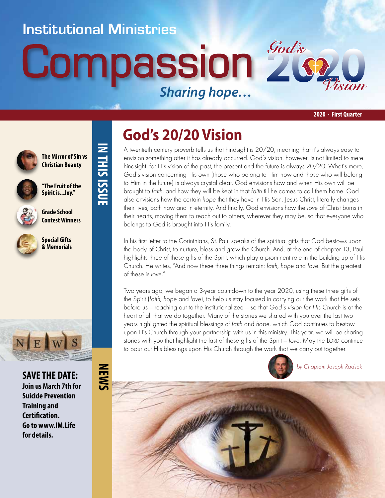#### **Institutional Ministries**

**IN THIS ISSUE**

IN THIS ISSUE

# **Compassion** *Sharing hope…*



**2020 - First Quarter**



**The Mirror of Sin vs Christian Beauty**

**"The Fruit of the Spirit is...Joy."**



**Grade School Contest Winners**

**Special Gifts & Memorials**



**SAVE THE DATE: Join us March 7th for Suicide Prevention Training and Certification. Go to www.IM.Life for details.**

### **God's 20/20 Vision**

A twentieth century proverb tells us that hindsight is 20/20, meaning that it's always easy to envision something after it has already occurred. God's vision, however, is not limited to mere hindsight, for His vision of the past, the present and the future is always 20/20. What's more, God's vision concerning His own (those who belong to Him now and those who will belong to Him in the future) is always crystal clear. God envisions how and when His own will be brought to faith, and how they will be kept in that faith till he comes to call them home. God also envisions how the certain hope that they have in His Son, Jesus Christ, literally changes their lives, both now and in eternity. And finally, God envisions how the love of Christ burns in their hearts, moving them to reach out to others, wherever they may be, so that everyone who belongs to God is brought into His family.

In his first letter to the Corinthians, St. Paul speaks of the spiritual gifts that God bestows upon the body of Christ, to nurture, bless and grow the Church. And, at the end of chapter 13, Paul highlights three of these gifts of the Spirit, which play a prominent role in the building up of His Church. He writes, "And now these three things remain: faith, hope and love. But the greatest of these is love."

Two years ago, we began a 3-year countdown to the year 2020, using these three gifts of the Spirit (faith, hope and love), to help us stay focused in carrying out the work that He sets before us — reaching out to the institutionalized — so that God's vision for His Church is at the heart of all that we do together. Many of the stories we shared with you over the last two years highlighted the spiritual blessings of faith and hope, which God continues to bestow upon His Church through your partnership with us in this ministry. This year, we will be sharing stories with you that highlight the last of these gifts of the Spirit — love. May the LORD continue to pour out His blessings upon His Church through the work that we carry out together.



by Chaplain Joseph Radsek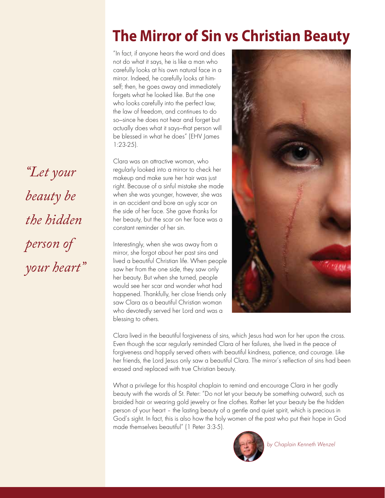#### **The Mirror of Sin vs Christian Beauty**

"In fact, if anyone hears the word and does not do what it says, he is like a man who carefully looks at his own natural face in a mirror. Indeed, he carefully looks at himself; then, he goes away and immediately forgets what he looked like. But the one who looks carefully into the perfect law, the law of freedom, and continues to do so—since he does not hear and forget but actually does what it says—that person will be blessed in what he does" (EHV James 1:23-25).

Clara was an attractive woman, who regularly looked into a mirror to check her makeup and make sure her hair was just right. Because of a sinful mistake she made when she was younger, however, she was in an accident and bore an ugly scar on the side of her face. She gave thanks for her beauty, but the scar on her face was a constant reminder of her sin.

Interestingly, when she was away from a mirror, she forgot about her past sins and lived a beautiful Christian life. When people saw her from the one side, they saw only her beauty. But when she turned, people would see her scar and wonder what had happened. Thankfully, her close friends only saw Clara as a beautiful Christian woman who devotedly served her Lord and was a blessing to others.



Clara lived in the beautiful forgiveness of sins, which Jesus had won for her upon the cross. Even though the scar regularly reminded Clara of her failures, she lived in the peace of forgiveness and happily served others with beautiful kindness, patience, and courage. Like her friends, the Lord Jesus only saw a beautiful Clara. The mirror's reflection of sins had been erased and replaced with true Christian beauty.

What a privilege for this hospital chaplain to remind and encourage Clara in her godly beauty with the words of St. Peter: "Do not let your beauty be something outward, such as braided hair or wearing gold jewelry or fine clothes. Rather let your beauty be the hidden person of your heart – the lasting beauty of a gentle and quiet spirit, which is precious in God's sight. In fact, this is also how the holy women of the past who put their hope in God made themselves beautiful" (1 Peter 3:3-5).



by Chaplain Kenneth Wenzel

*"Let your beauty be the hidden person of your heart"*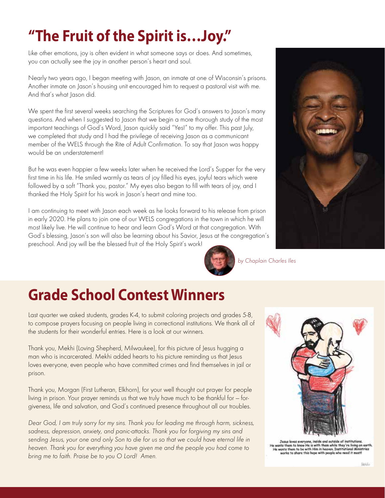## **"The Fruit of the Spirit is…Joy."**

Like other emotions, joy is often evident in what someone says or does. And sometimes, you can actually see the joy in another person's heart and soul.

Nearly two years ago, I began meeting with Jason, an inmate at one of Wisconsin's prisons. Another inmate on Jason's housing unit encouraged him to request a pastoral visit with me. And that's what Jason did.

We spent the first several weeks searching the Scriptures for God's answers to Jason's many questions. And when I suggested to Jason that we begin a more thorough study of the most important teachings of God's Word, Jason quickly said "Yes!" to my offer. This past July, we completed that study and I had the privilege of receiving Jason as a communicant member of the WELS through the Rite of Adult Confirmation. To say that Jason was happy would be an understatement!

But he was even happier a few weeks later when he received the Lord's Supper for the very first time in his life. He smiled warmly as tears of joy filled his eyes, joyful tears which were followed by a soft "Thank you, pastor." My eyes also began to fill with tears of joy, and I thanked the Holy Spirit for his work in Jason's heart and mine too.

I am continuing to meet with Jason each week as he looks forward to his release from prison in early 2020. He plans to join one of our WELS congregations in the town in which he will most likely live. He will continue to hear and learn God's Word at that congregation. With God's blessing, Jason's son will also be learning about his Savior, Jesus at the congregation's preschool. And joy will be the blessed fruit of the Holy Spirit's work!



by Chaplain Charles Iles

#### **Grade School Contest Winners**

Last quarter we asked students, grades K-4, to submit coloring projects and grades 5-8, to compose prayers focusing on people living in correctional institutions. We thank all of the students for their wonderful entries. Here is a look at our winners.

Thank you, Mekhi (Loving Shepherd, Milwaukee), for this picture of Jesus hugging a man who is incarcerated. Mekhi added hearts to his picture reminding us that Jesus loves everyone, even people who have committed crimes and find themselves in jail or prison.

Thank you, Morgan (First Lutheran, Elkhorn), for your well thought out prayer for people living in prison. Your prayer reminds us that we truly have much to be thankful for — forgiveness, life and salvation, and God's continued presence throughout all our troubles.

Dear God, I am truly sorry for my sins. Thank you for leading me through harm, sickness, sadness, depression, anxiety, and panic-attacks. Thank you for forgiving my sins and sending Jesus, your one and only Son to die for us so that we could have eternal life in heaven. Thank you for everything you have given me and the people you had come to bring me to faith. Praise be to you O Lord! Amen.



and outside of institutie nts them to know Me is with them while they're living on earth.<br>nasts them to be with Mim in heaven. Institutional Ministries<br>works to share this hope with people who need it mostl